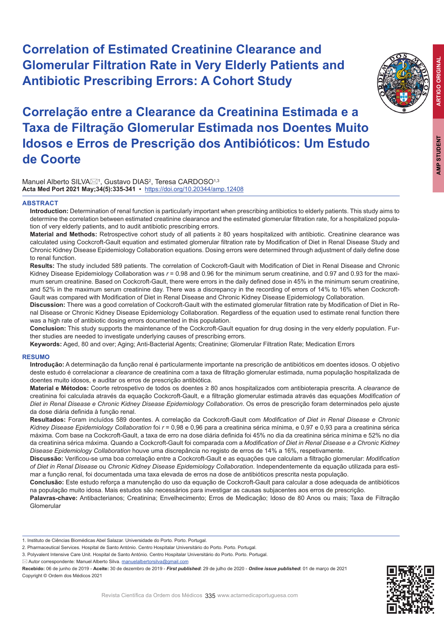# **Correlation of Estimated Creatinine Clearance and Glomerular Filtration Rate in Very Elderly Patients and Antibiotic Prescribing Errors: A Cohort Study**

# **Correlação entre a Clearance da Creatinina Estimada e a Taxa de Filtração Glomerular Estimada nos Doentes Muito Idosos e Erros de Prescrição dos Antibióticos: Um Estudo de Coorte**

Manuel Alberto SILVA⊠1, Gustavo DIAS<sup>2</sup>, Teresa CARDOSO1,3 **Acta Med Port 2021 May;34(5):335-341** ▪https://doi.org/10.20344/amp.12408

## **ABSTRACT**

**Introduction:** Determination of renal function is particularly important when prescribing antibiotics to elderly patients. This study aims to determine the correlation between estimated creatinine clearance and the estimated glomerular filtration rate, for a hospitalized population of very elderly patients, and to audit antibiotic prescribing errors.

**Material and Methods:** Retrospective cohort study of all patients ≥ 80 years hospitalized with antibiotic. Creatinine clearance was calculated using Cockcroft-Gault equation and estimated glomerular filtration rate by Modification of Diet in Renal Disease Study and Chronic Kidney Disease Epidemiology Collaboration equations. Dosing errors were determined through adjustment of daily define dose to renal function.

**Results:** The study included 589 patients. The correlation of Cockcroft-Gault with Modification of Diet in Renal Disease and Chronic Kidney Disease Epidemiology Collaboration was  $r = 0.98$  and 0.96 for the minimum serum creatinine, and 0.97 and 0.93 for the maximum serum creatinine. Based on Cockcroft-Gault, there were errors in the daily defined dose in 45% in the minimum serum creatinine, and 52% in the maximum serum creatinine day. There was a discrepancy in the recording of errors of 14% to 16% when Cockcroft-Gault was compared with Modification of Diet in Renal Disease and Chronic Kidney Disease Epidemiology Collaboration.

**Discussion:** There was a good correlation of Cockcroft-Gault with the estimated glomerular filtration rate by Modification of Diet in Renal Disease or Chronic Kidney Disease Epidemiology Collaboration. Regardless of the equation used to estimate renal function there was a high rate of antibiotic dosing errors documented in this population.

**Conclusion:** This study supports the maintenance of the Cockcroft-Gault equation for drug dosing in the very elderly population. Further studies are needed to investigate underlying causes of prescribing errors.

**Keywords:** Aged, 80 and over; Aging; Anti-Bacterial Agents; Creatinine; Glomerular Filtration Rate; Medication Errors

# **RESUMO**

**Introdução:** A determinação da função renal é particularmente importante na prescrição de antibióticos em doentes idosos. O objetivo deste estudo é correlacionar a *clearance* de creatinina com a taxa de filtração glomerular estimada, numa população hospitalizada de doentes muito idosos, e auditar os erros de prescrição antibiótica.

**Material e Métodos:** Coorte retrospetivo de todos os doentes ≥ 80 anos hospitalizados com antibioterapia prescrita. A *clearance* de creatinina foi calculada através da equação Cockcroft-Gault, e a filtração glomerular estimada através das equações *Modification of Diet in Renal Disease e Chronic Kidney Disease Epidemiology Collaboration*. Os erros de prescrição foram determinados pelo ajuste da dose diária definida à função renal.

**Resultados:** Foram incluídos 589 doentes. A correlação da Cockcroft-Gault com *Modification of Diet in Renal Disease e Chronic Kidney Disease Epidemiology Collaboration* foi *r* = 0,98 e 0,96 para a creatinina sérica mínima, e 0,97 e 0,93 para a creatinina sérica máxima. Com base na Cockcroft-Gault, a taxa de erro na dose diária definida foi 45% no dia da creatinina sérica mínima e 52% no dia da creatinina sérica máxima. Quando a Cockcroft-Gault foi comparada com a *Modification of Diet in Renal Disease e a Chronic Kidney Disease Epidemiology Collaboration* houve uma discrepância no registo de erros de 14% a 16%, respetivamente.

**Discussão:** Verificou-se uma boa correlação entre a Cockcroft-Gault e as equações que calculam a filtração glomerular: *Modification of Diet in Renal Disease* ou *Chronic Kidney Disease Epidemiology Collaboration*. Independentemente da equação utilizada para estimar a função renal, foi documentada uma taxa elevada de erros na dose de antibióticos prescrita nesta população.

**Conclusão:** Este estudo reforça a manutenção do uso da equação de Cockcroft-Gault para calcular a dose adequada de antibióticos na população muito idosa. Mais estudos são necessários para investigar as causas subjacentes aos erros de prescrição.

**Palavras-chave:** Antibacterianos; Creatinina; Envelhecimento; Erros de Medicação; Idoso de 80 Anos ou mais; Taxa de Filtração Glomerular





**AMP STUDENT** AMP STUDENT

**ARTIGO ORIGINAL**

<sup>1.</sup> Instituto de Ciências Biomédicas Abel Salazar. Universidade do Porto. Porto. Portugal.

<sup>2.</sup> Pharmaceutical Services. Hospital de Santo António. Centro Hospitalar Universitário do Porto. Porto. Portugal.

<sup>3.</sup> Polyvalent Intensive Care Unit. Hospital de Santo António. Centro Hospitalar Universitário do Porto. Porto. Portugal.

Autor correspondente: Manuel Alberto Silva. manuelalbertorsilva@gmail.com

**Recebido:** 06 de junho de 2019 - **Aceite:** 30 de dezembro de 2019 - *First published***:** 29 de julho de 2020 - *Online issue published***:** 01 de março de 2021 Copyright © Ordem dos Médicos 2021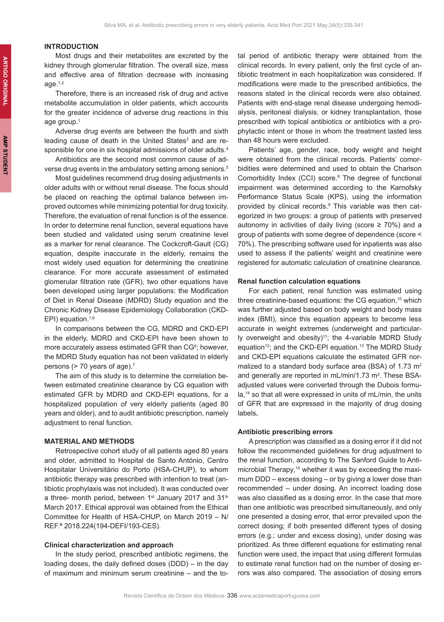#### **INTRODUCTION**

Most drugs and their metabolites are excreted by the kidney through glomerular filtration. The overall size, mass and effective area of filtration decrease with increasing  $age.<sup>1,2</sup>$ 

Therefore, there is an increased risk of drug and active metabolite accumulation in older patients, which accounts for the greater incidence of adverse drug reactions in this age group.1

Adverse drug events are between the fourth and sixth leading cause of death in the United States<sup>3</sup> and are responsible for one in six hospital admissions of older adults.<sup>4</sup>

Antibiotics are the second most common cause of adverse drug events in the ambulatory setting among seniors.<sup>5</sup>

Most guidelines recommend drug dosing adjustments in older adults with or without renal disease. The focus should be placed on reaching the optimal balance between improved outcomes while minimizing potential for drug toxicity. Therefore, the evaluation of renal function is of the essence. In order to determine renal function, several equations have been studied and validated using serum creatinine level as a marker for renal clearance. The Cockcroft-Gault (CG) equation, despite inaccurate in the elderly, remains the most widely used equation for determining the creatinine clearance. For more accurate assessment of estimated glomerular filtration rate (GFR), two other equations have been developed using larger populations: the Modification of Diet in Renal Disease (MDRD) Study equation and the Chronic Kidney Disease Epidemiology Collaboration (CKD-EPI) equation. $1,6$ 

In comparisons between the CG, MDRD and CKD-EPI in the elderly, MDRD and CKD-EPI have been shown to more accurately assess estimated GFR than CG<sup>6</sup>; however, the MDRD Study equation has not been validated in elderly persons ( $> 70$  years of age).<sup>7</sup>

The aim of this study is to determine the correlation between estimated creatinine clearance by CG equation with estimated GFR by MDRD and CKD-EPI equations, for a hospitalized population of very elderly patients (aged 80 years and older), and to audit antibiotic prescription, namely adjustment to renal function.

## **MATERIAL AND METHODS**

Retrospective cohort study of all patients aged 80 years and older, admitted to Hospital de Santo António, Centro Hospitalar Universitário do Porto (HSA-CHUP), to whom antibiotic therapy was prescribed with intention to treat (antibiotic prophylaxis was not included). It was conducted over a three- month period, between 1<sup>st</sup> January 2017 and 31<sup>th</sup> March 2017. Ethical approval was obtained from the Ethical Committee for Health of HSA-CHUP, on March 2019 – N/ REF.ª 2018.224(194-DEFI/193-CES).

#### **Clinical characterization and approach**

In the study period, prescribed antibiotic regimens, the loading doses, the daily defined doses (DDD) – in the day of maximum and minimum serum creatinine – and the total period of antibiotic therapy were obtained from the clinical records. In every patient, only the first cycle of antibiotic treatment in each hospitalization was considered. If modifications were made to the prescribed antibiotics, the reasons stated in the clinical records were also obtained. Patients with end-stage renal disease undergoing hemodialysis, peritoneal dialysis, or kidney transplantation, those prescribed with topical antibiotics or antibiotics with a prophylactic intent or those in whom the treatment lasted less than 48 hours were excluded.

Patients' age, gender, race, body weight and height were obtained from the clinical records. Patients' comorbidities were determined and used to obtain the Charlson Comorbidity Index (CCI) score.<sup>8</sup> The degree of functional impairment was determined according to the Karnofsky Performance Status Scale (KPS), using the information provided by clinical records.<sup>9</sup> This variable was then categorized in two groups: a group of patients with preserved autonomy in activities of daily living (score ≥ 70%) and a group of patients with some degree of dependence (score < 70%). The prescribing software used for inpatients was also used to assess if the patients' weight and creatinine were registered for automatic calculation of creatinine clearance.

### **Renal function calculation equations**

For each patient, renal function was estimated using three creatinine-based equations: the CG equation,<sup>10</sup> which was further adjusted based on body weight and body mass index (BMI), since this equation appears to become less accurate in weight extremes (underweight and particularly overweight and obesity)<sup>11</sup>; the 4-variable MDRD Study equation<sup>12</sup>; and the CKD-EPI equation.<sup>13</sup> The MDRD Study and CKD-EPI equations calculate the estimated GFR normalized to a standard body surface area (BSA) of 1.73 m<sup>2</sup> and generally are reported in mL/min/1.73 m<sup>2</sup>. These BSAadjusted values were converted through the Dubois formula,<sup>14</sup> so that all were expressed in units of mL/min, the units of GFR that are expressed in the majority of drug dosing labels**.**

## **Antibiotic prescribing errors**

A prescription was classified as a dosing error if it did not follow the recommended guidelines for drug adjustment to the renal function, according to The Sanford Guide to Antimicrobial Therapy*,* 15 whether it was by exceeding the maximum DDD – excess dosing – or by giving a lower dose than recommended – under dosing. An incorrect loading dose was also classified as a dosing error. In the case that more than one antibiotic was prescribed simultaneously, and only one presented a dosing error, that error prevailed upon the correct dosing; if both presented different types of dosing errors (e.g.: under and excess dosing), under dosing was prioritized. As three different equations for estimating renal function were used, the impact that using different formulas to estimate renal function had on the number of dosing errors was also compared. The association of dosing errors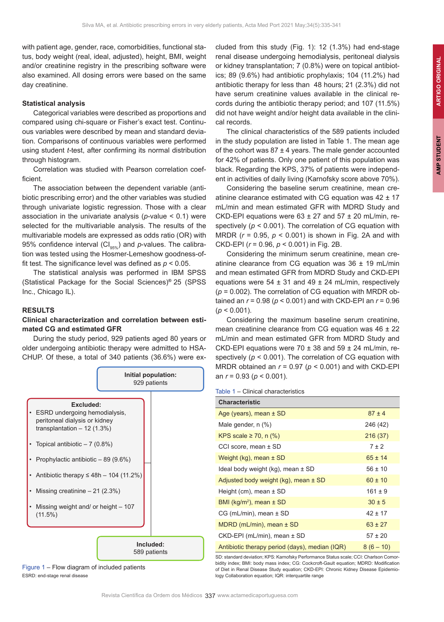with patient age, gender, race, comorbidities, functional status, body weight (real, ideal, adjusted), height, BMI, weight and/or creatinine registry in the prescribing software were also examined. All dosing errors were based on the same day creatinine.

## **Statistical analysis**

Categorical variables were described as proportions and compared using chi-square or Fisher's exact test. Continuous variables were described by mean and standard deviation. Comparisons of continuous variables were performed using student *t-*test, after confirming its normal distribution through histogram.

Correlation was studied with Pearson correlation coefficient.

The association between the dependent variable (antibiotic prescribing error) and the other variables was studied through univariate logistic regression. Those with a clear association in the univariate analysis (*p*-value < 0.1) were selected for the multivariable analysis. The results of the multivariable models are expressed as odds ratio (OR) with 95% confidence interval (CI<sub>95%</sub>) and *p*-values. The calibration was tested using the Hosmer-Lemeshow goodness-offit test. The significance level was defined as *p* < 0.05.

The statistical analysis was performed in IBM SPSS (Statistical Package for the Social Sciences)**®** 25 (SPSS Inc., Chicago IL).

# **RESULTS**

# **Clinical characterization and correlation between estimated CG and estimated GFR**

During the study period, 929 patients aged 80 years or older undergoing antibiotic therapy were admitted to HSA-CHUP. Of these, a total of 340 patients (36.6%) were ex-



Figure 1 – Flow diagram of included patients ESRD: end-stage renal disease

cluded from this study (Fig. 1): 12 (1.3%) had end-stage renal disease undergoing hemodialysis, peritoneal dialysis or kidney transplantation; 7 (0.8%) were on topical antibiotics; 89 (9.6%) had antibiotic prophylaxis; 104 (11.2%) had antibiotic therapy for less than 48 hours; 21 (2.3%) did not have serum creatinine values available in the clinical records during the antibiotic therapy period; and 107 (11.5%) did not have weight and/or height data available in the clinical records.

The clinical characteristics of the 589 patients included in the study population are listed in Table 1. The mean age of the cohort was  $87 \pm 4$  years. The male gender accounted for 42% of patients. Only one patient of this population was black. Regarding the KPS, 37% of patients were independent in activities of daily living (Karnofsky score above 70%).

Considering the baseline serum creatinine, mean creatinine clearance estimated with CG equation was 42 ± 17 mL/min and mean estimated GFR with MDRD Study and CKD-EPI equations were  $63 \pm 27$  and  $57 \pm 20$  mL/min, respectively ( $p < 0.001$ ). The correlation of CG equation with MRDR (*r* = 0.95, *p* < 0.001) is shown in Fig. 2A and with CKD-EPI (*r* = 0.96, *p* < 0.001) in Fig. 2B.

Considering the minimum serum creatinine, mean creatinine clearance from CG equation was  $36 \pm 19$  mL/min and mean estimated GFR from MDRD Study and CKD-EPI equations were  $54 \pm 31$  and  $49 \pm 24$  mL/min, respectively (*p* = 0.002). The correlation of CG equation with MRDR obtained an *r* = 0.98 (*p* < 0.001) and with CKD-EPI an *r* = 0.96 (*p* < 0.001).

Considering the maximum baseline serum creatinine, mean creatinine clearance from CG equation was  $46 \pm 22$ mL/min and mean estimated GFR from MDRD Study and CKD-EPI equations were  $70 \pm 38$  and  $59 \pm 24$  mL/min, respectively  $(p < 0.001)$ . The correlation of CG equation with MRDR obtained an *r* = 0.97 (*p* < 0.001) and with CKD-EPI an *r* = 0.93 (*p* < 0.001).

| <b>Characteristic</b>                          |             |
|------------------------------------------------|-------------|
| Age (years), mean $\pm$ SD                     | $87 \pm 4$  |
| Male gender, n (%)                             | 246 (42)    |
| KPS scale $\geq$ 70, n (%)                     | 216(37)     |
| CCI score, mean ± SD                           | $7 \pm 2$   |
| Weight (kg), mean $\pm$ SD                     | $65 \pm 14$ |
| Ideal body weight (kg), mean $\pm$ SD          | $56 \pm 10$ |
| Adjusted body weight (kg), mean $\pm$ SD       | $60 \pm 10$ |
| Height (cm), mean $\pm$ SD                     | $161 \pm 9$ |
| BMI (kg/m <sup>2</sup> ), mean $\pm$ SD        | $30 \pm 5$  |
| $CG$ (mL/min), mean $±$ SD                     | $42 \pm 17$ |
| MDRD ( $mL/min$ ), mean $\pm$ SD               | $63 \pm 27$ |
| CKD-EPI (mL/min), mean ± SD                    | $57 \pm 20$ |
| Antibiotic therapy period (days), median (IQR) | $8(6 - 10)$ |

SD: standard deviation; KPS: Karnofsky Performance Status scale; CCI: Charlson Comorbidity index; BMI: body mass index; CG: Cockcroft-Gault equation; MDRD: Modification of Diet in Renal Disease Study equation; CKD-EPI: Chronic Kidney Disease Epidemiology Collaboration equation; IQR: interquartile range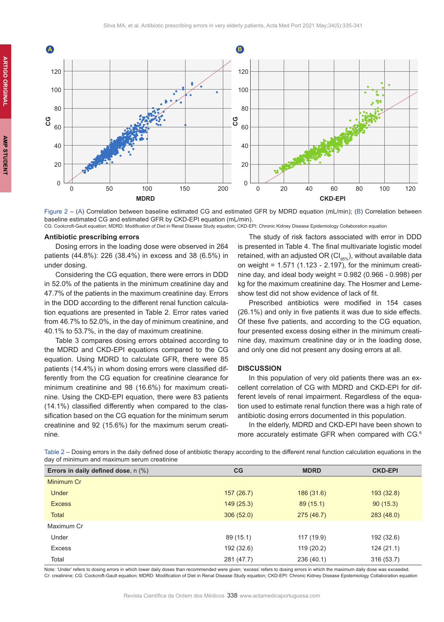

Figure 2 – (A) Correlation between baseline estimated CG and estimated GFR by MDRD equation (mL/min); (B) Correlation between baseline estimated CG and estimated GFR by CKD-EPI equation (mL/min).

#### CG: Cockcroft-Gault equation; MDRD: Modification of Diet in Renal Disease Study equation; CKD-EPI: Chronic Kidney Disease Epidemiology Collaboration equation

## **Antibiotic prescribing errors**

Dosing errors in the loading dose were observed in 264 patients (44.8%): 226 (38.4%) in excess and 38 (6.5%) in under dosing.

Considering the CG equation, there were errors in DDD in 52.0% of the patients in the minimum creatinine day and 47.7% of the patients in the maximum creatinine day. Errors in the DDD according to the different renal function calculation equations are presented in Table 2. Error rates varied from 46.7% to 52.0%, in the day of minimum creatinine, and 40.1% to 53.7%, in the day of maximum creatinine.

Table 3 compares dosing errors obtained according to the MDRD and CKD-EPI equations compared to the CG equation. Using MDRD to calculate GFR, there were 85 patients (14.4%) in whom dosing errors were classified differently from the CG equation for creatinine clearance for minimum creatinine and 98 (16.6%) for maximum creatinine. Using the CKD-EPI equation, there were 83 patients (14.1%) classified differently when compared to the classification based on the CG equation for the minimum serum creatinine and 92 (15.6%) for the maximum serum creatinine.

The study of risk factors associated with error in DDD is presented in Table 4. The final multivariate logistic model retained, with an adjusted OR  $(Cl_{95\%})$ , without available data on weight = 1.571 (1.123 - 2.197), for the minimum creatinine day, and ideal body weight =  $0.982$  ( $0.966 - 0.998$ ) per kg for the maximum creatinine day. The Hosmer and Lemeshow test did not show evidence of lack of fit.

Prescribed antibiotics were modified in 154 cases (26.1%) and only in five patients it was due to side effects. Of these five patients, and according to the CG equation, four presented excess dosing either in the minimum creatinine day, maximum creatinine day or in the loading dose, and only one did not present any dosing errors at all.

#### **DISCUSSION**

In this population of very old patients there was an excellent correlation of CG with MDRD and CKD-EPI for different levels of renal impairment. Regardless of the equation used to estimate renal function there was a high rate of antibiotic dosing errors documented in this population.

In the elderly, MDRD and CKD-EPI have been shown to more accurately estimate GFR when compared with CG.<sup>6</sup>

Table 2 – Dosing errors in the daily defined dose of antibiotic therapy according to the different renal function calculation equations in the day of minimum and maximum serum creatinine

| Errors in daily defined dose, n (%) | CG         | <b>MDRD</b> | <b>CKD-EPI</b> |
|-------------------------------------|------------|-------------|----------------|
| Minimum Cr                          |            |             |                |
| <b>Under</b>                        | 157(26.7)  | 186 (31.6)  | 193(32.8)      |
| <b>Excess</b>                       | 149(25.3)  | 89(15.1)    | 90(15.3)       |
| <b>Total</b>                        | 306(52.0)  | 275(46.7)   | 283(48.0)      |
| Maximum Cr                          |            |             |                |
| Under                               | 89 (15.1)  | 117 (19.9)  | 192 (32.6)     |
| <b>Excess</b>                       | 192 (32.6) | 119 (20.2)  | 124(21.1)      |
| Total                               | 281 (47.7) | 236 (40.1)  | 316 (53.7)     |

Note: 'Under' refers to dosing errors in which lower daily doses than recommended were given; 'excess' refers to dosing errors in which the maximum daily dose was exceeded Cr: creatinine; CG: Cockcroft-Gault equation; MDRD: Modification of Diet in Renal Disease Study equation; CKD-EPI: Chronic Kidney Disease Epidemiology Collaboration equation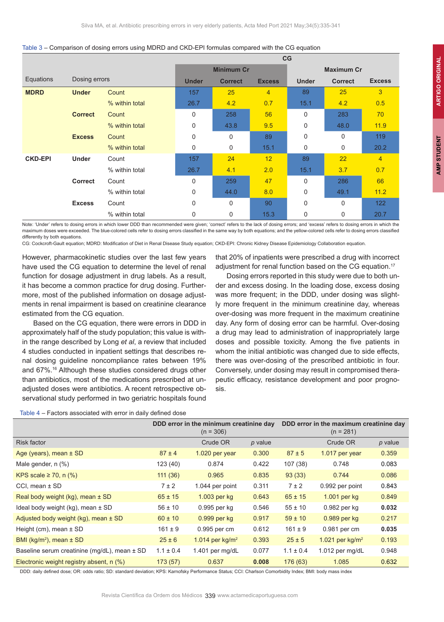|                |                |                | CG                |                |                |                   |                |                |
|----------------|----------------|----------------|-------------------|----------------|----------------|-------------------|----------------|----------------|
|                |                |                | <b>Minimum Cr</b> |                |                | <b>Maximum Cr</b> |                |                |
| Equations      | Dosing errors  |                | <b>Under</b>      | <b>Correct</b> | <b>Excess</b>  | <b>Under</b>      | <b>Correct</b> | <b>Excess</b>  |
| <b>MDRD</b>    | <b>Under</b>   | Count          | 157               | 25             | $\overline{4}$ | 89                | 25             | 3              |
|                |                | % within total | 26.7              | 4.2            | 0.7            | 15.1              | 4.2            | 0.5            |
|                | <b>Correct</b> | Count          | $\mathbf 0$       | 258            | 56             | 0                 | 283            | 70             |
|                |                | % within total | $\mathbf 0$       | 43.8           | 9.5            | $\mathbf 0$       | 48.0           | 11.9           |
|                | <b>Excess</b>  | Count          | $\mathbf 0$       | 0              | 89             | $\mathbf 0$       | 0              | 119            |
|                |                | % within total | $\mathbf 0$       | 0              | 15.1           | $\mathbf 0$       | 0              | 20.2           |
| <b>CKD-EPI</b> | <b>Under</b>   | Count          | 157               | 24             | 12             | 89                | 22             | $\overline{4}$ |
|                |                | % within total | 26.7              | 4.1            | 2.0            | 15.1              | 3.7            | 0.7            |
|                | <b>Correct</b> | Count          | $\mathbf 0$       | 259            | 47             | $\Omega$          | 286            | 66             |
|                |                | % within total | $\mathbf 0$       | 44.0           | 8.0            | $\Omega$          | 49.1           | 11.2           |
|                | <b>Excess</b>  | Count          | $\mathbf 0$       | 0              | 90             | $\mathbf 0$       | 0              | 122            |
|                |                | % within total | $\mathbf 0$       | 0              | 15.3           | 0                 | $\mathbf 0$    | 20.7           |

# Table 3 – Comparison of dosing errors using MDRD and CKD-EPI formulas compared with the CG equation

Note: 'Under' refers to dosing errors in which lower DDD than recommended were given; 'correct' refers to the lack of dosing errors; and 'excess' refers to dosing errors in which the maximum doses were exceeded. The blue-colored cells refer to dosing errors classified in the same way by both equations; and the yellow-colored cells refer to dosing errors classified differently by both equations.

CG: Cockcroft-Gault equation; MDRD: Modification of Diet in Renal Disease Study equation; CKD-EPI: Chronic Kidney Disease Epidemiology Collaboration equation.

However, pharmacokinetic studies over the last few years have used the CG equation to determine the level of renal function for dosage adjustment in drug labels. As a result, it has become a common practice for drug dosing. Furthermore, most of the published information on dosage adjustments in renal impairment is based on creatinine clearance estimated from the CG equation.

Based on the CG equation, there were errors in DDD in approximately half of the study population; this value is within the range described by Long *et al*, a review that included 4 studies conducted in inpatient settings that describes renal dosing guideline noncompliance rates between 19% and 67%.<sup>16</sup> Although these studies considered drugs other than antibiotics, most of the medications prescribed at unadjusted doses were antibiotics. A recent retrospective observational study performed in two geriatric hospitals found

that 20% of inpatients were prescribed a drug with incorrect adjustment for renal function based on the CG equation.<sup>17</sup>

Dosing errors reported in this study were due to both under and excess dosing. In the loading dose, excess dosing was more frequent; in the DDD, under dosing was slightly more frequent in the minimum creatinine day, whereas over-dosing was more frequent in the maximum creatinine day. Any form of dosing error can be harmful. Over-dosing a drug may lead to administration of inappropriately large doses and possible toxicity. Among the five patients in whom the initial antibiotic was changed due to side effects, there was over-dosing of the prescribed antibiotic in four. Conversely, under dosing may result in compromised therapeutic efficacy, resistance development and poor prognosis.

| Table 4 – Factors associated with error in daily defined dose |  |  |  |  |
|---------------------------------------------------------------|--|--|--|--|
|---------------------------------------------------------------|--|--|--|--|

|                                                  | DDD error in the minimum creatinine day<br>$(n = 306)$ |                   |         | DDD error in the maximum creatinine day<br>$(n = 281)$ |                   |           |  |
|--------------------------------------------------|--------------------------------------------------------|-------------------|---------|--------------------------------------------------------|-------------------|-----------|--|
| <b>Risk factor</b>                               |                                                        | Crude OR          | p value |                                                        | Crude OR          | $p$ value |  |
| Age (years), mean $\pm$ SD                       | $87 \pm 4$                                             | 1.020 per year    | 0.300   | $87 \pm 5$                                             | 1.017 per year    | 0.359     |  |
| Male gender, n (%)                               | 123 (40)                                               | 0.874             | 0.422   | 107 (38)                                               | 0.748             | 0.083     |  |
| KPS scale $\geq$ 70, n (%)                       | 111(36)                                                | 0.965             | 0.835   | 93(33)                                                 | 0.744             | 0.086     |  |
| CCI, mean $\pm$ SD                               | $7 \pm 2$                                              | 1.044 per point   | 0.311   | $7 \pm 2$                                              | 0.992 per point   | 0.843     |  |
| Real body weight (kg), mean $\pm$ SD             | $65 \pm 15$                                            | 1.003 per kg      | 0.643   | $65 \pm 15$                                            | 1.001 per kg      | 0.849     |  |
| Ideal body weight (kg), mean $\pm$ SD            | $56 \pm 10$                                            | 0.995 per kg      | 0.546   | $55 \pm 10$                                            | 0.982 per kg      | 0.032     |  |
| Adjusted body weight (kg), mean $\pm$ SD         | $60 \pm 10$                                            | 0.999 per kg      | 0.917   | $59 \pm 10$                                            | 0.989 per kg      | 0.217     |  |
| Height (cm), mean $\pm$ SD                       | $161 \pm 9$                                            | 0.995 per cm      | 0.612   | $161 \pm 9$                                            | 0.981 per cm      | 0.035     |  |
| BMI ( $kg/m2$ ), mean $\pm$ SD                   | $25 \pm 6$                                             | 1.014 per $kg/m2$ | 0.393   | $25 \pm 5$                                             | 1.021 per $kg/m2$ | 0.193     |  |
| Baseline serum creatinine (mg/dL), mean $\pm$ SD | $1.1 \pm 0.4$                                          | 1.401 per mg/dL   | 0.077   | $1.1 \pm 0.4$                                          | 1.012 per mg/dL   | 0.948     |  |
| Electronic weight registry absent, n (%)         | 173(57)                                                | 0.637             | 0.008   | 176 (63)                                               | 1.085             | 0.632     |  |

DDD: daily defined dose; OR: odds ratio; SD: standard deviation; KPS: Karnofsky Performance Status; CCI: Charlson Comorbidity Index; BMI: body mass index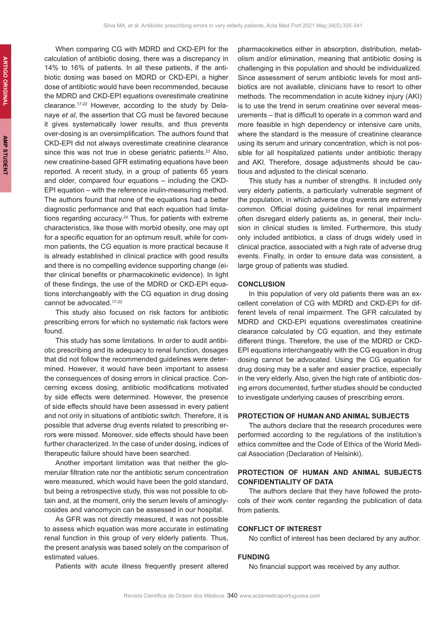When comparing CG with MDRD and CKD-EPI for the calculation of antibiotic dosing, there was a discrepancy in 14% to 16% of patients. In all these patients, if the antibiotic dosing was based on MDRD or CKD-EPI, a higher dose of antibiotic would have been recommended, because the MDRD and CKD-EPI equations overestimate creatinine clearance.17-22 However, according to the study by Delanaye *et al*, the assertion that CG must be favored because it gives systematically lower results, and thus prevents over-dosing is an oversimplification. The authors found that CKD-EPI did not always overestimate creatinine clearance since this was not true in obese geriatric patients.<sup>23</sup> Also, new creatinine-based GFR estimating equations have been reported. A recent study, in a group of patients 65 years and older, compared four equations – including the CKD-EPI equation – with the reference inulin-measuring method. The authors found that none of the equations had a better diagnostic performance and that each equation had limitations regarding accuracy. $24$  Thus, for patients with extreme characteristics, like those with morbid obesity, one may opt for a specific equation for an optimum result, while for common patients, the CG equation is more practical because it is already established in clinical practice with good results and there is no compelling evidence supporting change (either clinical benefits or pharmacokinetic evidence). In light of these findings, the use of the MDRD or CKD-EPI equations interchangeably with the CG equation in drug dosing cannot be advocated.17-22

This study also focused on risk factors for antibiotic prescribing errors for which no systematic risk factors were found.

This study has some limitations. In order to audit antibiotic prescribing and its adequacy to renal function, dosages that did not follow the recommended guidelines were determined. However, it would have been important to assess the consequences of dosing errors in clinical practice. Concerning excess dosing, antibiotic modifications motivated by side effects were determined. However, the presence of side effects should have been assessed in every patient and not only in situations of antibiotic switch. Therefore, it is possible that adverse drug events related to prescribing errors were missed. Moreover, side effects should have been further characterized. In the case of under dosing, indices of therapeutic failure should have been searched.

Another important limitation was that neither the glomerular filtration rate nor the antibiotic serum concentration were measured, which would have been the gold standard, but being a retrospective study, this was not possible to obtain and, at the moment, only the serum levels of aminoglycosides and vancomycin can be assessed in our hospital.

As GFR was not directly measured, it was not possible to assess which equation was more accurate in estimating renal function in this group of very elderly patients. Thus, the present analysis was based solely on the comparison of estimated values.

Patients with acute illness frequently present altered

pharmacokinetics either in absorption, distribution, metabolism and/or elimination, meaning that antibiotic dosing is challenging in this population and should be individualized. Since assessment of serum antibiotic levels for most antibiotics are not available, clinicians have to resort to other methods. The recommendation in acute kidney injury (AKI) is to use the trend in serum creatinine over several measurements – that is difficult to operate in a common ward and more feasible in high dependency or intensive care units, where the standard is the measure of creatinine clearance using its serum and urinary concentration, which is not possible for all hospitalized patients under antibiotic therapy and AKI. Therefore, dosage adjustments should be cautious and adjusted to the clinical scenario.

This study has a number of strengths. It included only very elderly patients, a particularly vulnerable segment of the population, in which adverse drug events are extremely common. Official dosing guidelines for renal impairment often disregard elderly patients as, in general, their inclusion in clinical studies is limited. Furthermore, this study only included antibiotics, a class of drugs widely used in clinical practice, associated with a high rate of adverse drug events. Finally, in order to ensure data was consistent, a large group of patients was studied.

### **CONCLUSION**

In this population of very old patients there was an excellent correlation of CG with MDRD and CKD-EPI for different levels of renal impairment. The GFR calculated by MDRD and CKD-EPI equations overestimates creatinine clearance calculated by CG equation, and they estimate different things. Therefore, the use of the MDRD or CKD-EPI equations interchangeably with the CG equation in drug dosing cannot be advocated. Using the CG equation for drug dosing may be a safer and easier practice, especially in the very elderly. Also, given the high rate of antibiotic dosing errors documented, further studies should be conducted to investigate underlying causes of prescribing errors.

## **PROTECTION OF HUMAN AND ANIMAL SUBJECTS**

The authors declare that the research procedures were performed according to the regulations of the institution's ethics committee and the Code of Ethics of the World Medical Association (Declaration of Helsinki).

# **PROTECTION OF HUMAN AND ANIMAL SUBJECTS CONFIDENTIALITY OF DATA**

The authors declare that they have followed the protocols of their work center regarding the publication of data from patients.

# **CONFLICT OF INTEREST**

No conflict of interest has been declared by any author.

#### **FUNDING**

No financial support was received by any author.